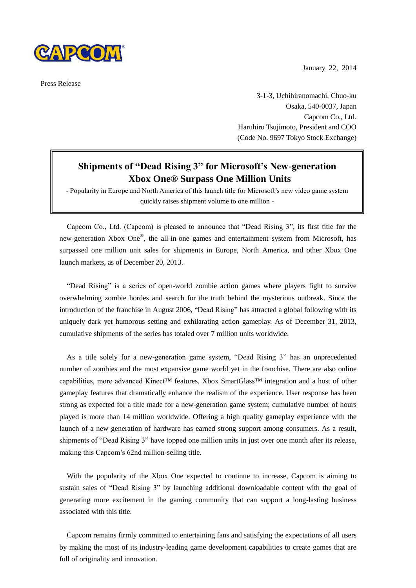

Press Release

January 22, 2014

3-1-3, Uchihiranomachi, Chuo-ku Osaka, 540-0037, Japan Capcom Co., Ltd. Haruhiro Tsujimoto, President and COO (Code No. 9697 Tokyo Stock Exchange)

## **Shipments of "Dead Rising 3" for Microsoft's New-generation Xbox One® Surpass One Million Units**

- Popularity in Europe and North America of this launch title for Microsoft's new video game system quickly raises shipment volume to one million -

Capcom Co., Ltd. (Capcom) is pleased to announce that "Dead Rising 3", its first title for the new-generation Xbox One®, the all-in-one games and entertainment system from Microsoft, has surpassed one million unit sales for shipments in Europe, North America, and other Xbox One launch markets, as of December 20, 2013.

"Dead Rising" is a series of open-world zombie action games where players fight to survive overwhelming zombie hordes and search for the truth behind the mysterious outbreak. Since the introduction of the franchise in August 2006, "Dead Rising" has attracted a global following with its uniquely dark yet humorous setting and exhilarating action gameplay. As of December 31, 2013, cumulative shipments of the series has totaled over 7 million units worldwide.

As a title solely for a new-generation game system, "Dead Rising 3" has an unprecedented number of zombies and the most expansive game world yet in the franchise. There are also online capabilities, more advanced Kinect™ features, Xbox SmartGlass™ integration and a host of other gameplay features that dramatically enhance the realism of the experience. User response has been strong as expected for a title made for a new-generation game system; cumulative number of hours played is more than 14 million worldwide. Offering a high quality gameplay experience with the launch of a new generation of hardware has earned strong support among consumers. As a result, shipments of "Dead Rising 3" have topped one million units in just over one month after its release, making this Capcom's 62nd million-selling title.

With the popularity of the Xbox One expected to continue to increase, Capcom is aiming to sustain sales of "Dead Rising 3" by launching additional downloadable content with the goal of generating more excitement in the gaming community that can support a long-lasting business associated with this title.

Capcom remains firmly committed to entertaining fans and satisfying the expectations of all users by making the most of its industry-leading game development capabilities to create games that are full of originality and innovation.